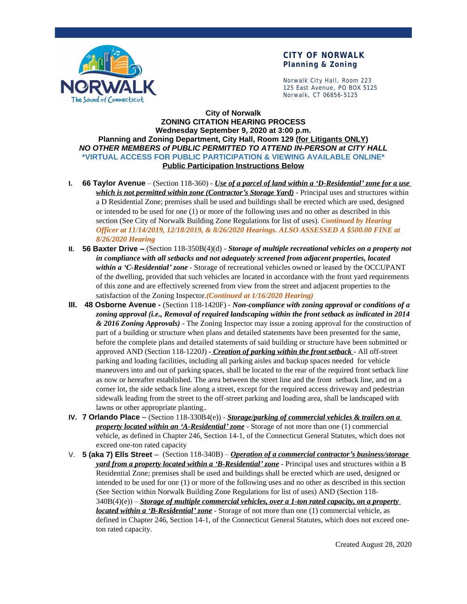

## **CITY OF NORWALK Planning & Zoning**

Norwalk City Hall, Room 223 125 East Avenue, PO BOX 5125 Norwalk, CT 06856-5125

## **City of Norwalk ZONING CITATION HEARING PROCESS Wednesday September 9, 2020 at 3:00 p.m. Planning and Zoning Department, City Hall, Room 129 (for Litigants ONLY)** *NO OTHER MEMBERS of PUBLIC PERMITTED TO ATTEND IN-PERSON at CITY HALL* **\*VIRTUAL ACCESS FOR PUBLIC PARTICIPATION & VIEWING AVAILABLE ONLINE\* Public Participation Instructions Below**

- **I. 66 Taylor Avenue** (Section 118-360) *Use of a parcel of land within a 'D-Residential' zone for a use which is not permitted within zone (Contractor's Storage Yard)* - Principal uses and structures within a D Residential Zone; premises shall be used and buildings shall be erected which are used, designed or intended to be used for one (1) or more of the following uses and no other as described in this section (See City of Norwalk Building Zone Regulations for list of uses). *Continued by Hearing Officer at 11/14/2019, 12/18/2019, & 8/26/2020 Hearings. ALSO ASSESSED A \$500.00 FINE at 8/26/2020 Hearing*
- **II. 56 Baxter Drive –** (Section 118-350B(4)(d) *Storage of multiple recreational vehicles on a property not in compliance with all setbacks and not adequately screened from adjacent properties, located within a 'C-Residential' zone* - Storage of recreational vehicles owned or leased by the OCCUPANT of the dwelling, provided that such vehicles are located in accordance with the front yard requirements of this zone and are effectively screened from view from the street and adjacent properties to the satisfaction of the Zoning Inspector.*(Continued at 1/16/2020 Hearing)*
- **III. 48 Osborne Avenue -** (Section 118-1420F) *Non-compliance with zoning approval or conditions of a zoning approval (i.e., Removal of required landscaping within the front setback as indicated in 2014 & 2016 Zoning Approvals)* - The Zoning Inspector may issue a zoning approval for the construction of part of a building or structure when plans and detailed statements have been presented for the same, before the complete plans and detailed statements of said building or structure have been submitted or approved AND (Section 118-1220J) - *Creation of parking within the front setback* - All off-street parking and loading facilities, including all parking aisles and backup spaces needed for vehicle maneuvers into and out of parking spaces, shall be located to the rear of the required front setback line as now or hereafter established. The area between the street line and the front setback line, and on a corner lot, the side setback line along a street, except for the required access driveway and pedestrian sidewalk leading from the street to the off-street parking and loading area, shall be landscaped with lawns or other appropriate planting.*.*
- **IV. 7 Orlando Place**  (Section 118-330B4(e)) *Storage/parking of commercial vehicles & trailers on a property located within an 'A-Residential' zone* - Storage of not more than one (1) commercial vehicle, as defined in Chapter 246, Section 14-1, of the Connecticut General Statutes, which does not exceed one-ton rated capacity
- V. **5 (aka 7) Ells Street**  (Section 118-340B) *Operation of a commercial contractor's business/storage yard from a property located within a 'B-Residential' zone* - Principal uses and structures within a B Residential Zone; premises shall be used and buildings shall be erected which are used, designed or intended to be used for one (1) or more of the following uses and no other as described in this section (See Section within Norwalk Building Zone Regulations for list of uses) AND (Section 118-  $340B(4)(e)$  – *Storage of multiple commercial vehicles, over a 1-ton rated capacity, on a property located within a 'B-Residential' zone* - Storage of not more than one (1) commercial vehicle, as defined in Chapter 246, Section 14-1, of the Connecticut General Statutes, which does not exceed oneton rated capacity.